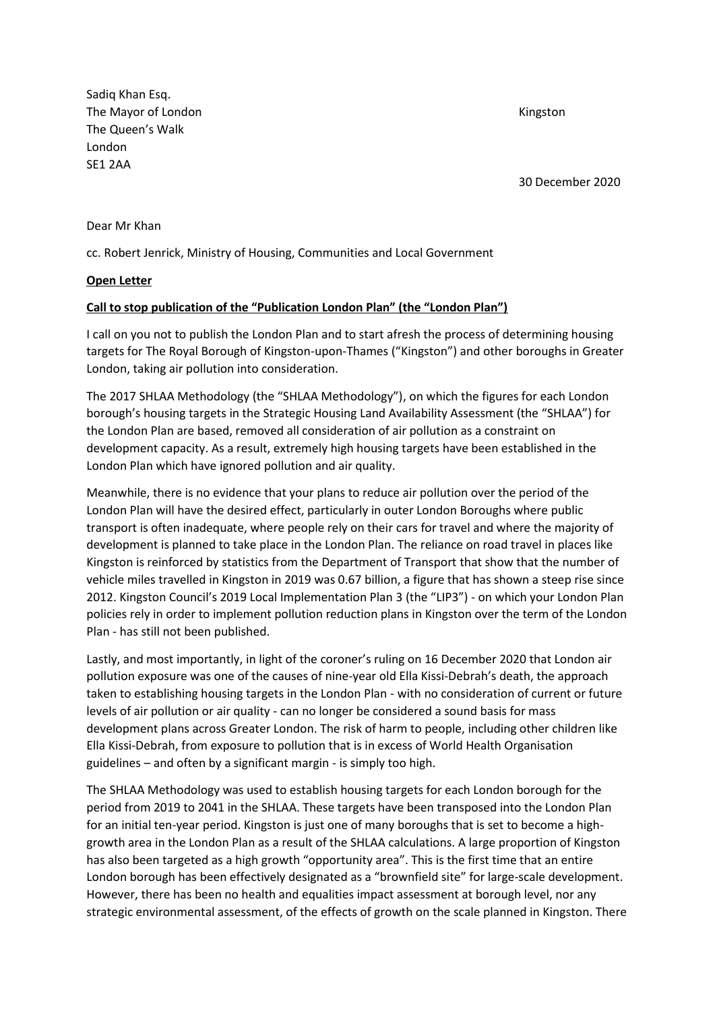Sadiq Khan Esq. The Mayor of London **Kingston** The Queen's Walk London SE1 2AA

30 December 2020

Dear Mr Khan

cc. Robert Jenrick, Ministry of Housing, Communities and Local Government

## **Open Letter**

## **Call to stop publication of the "Publication London Plan" (the "London Plan")**

I call on you not to publish the London Plan and to start afresh the process of determining housing targets for The Royal Borough of Kingston-upon-Thames ("Kingston") and other boroughs in Greater London, taking air pollution into consideration.

The 2017 SHLAA Methodology (the "SHLAA Methodology"), on which the figures for each London borough's housing targets in the Strategic Housing Land Availability Assessment (the "SHLAA") for the London Plan are based, removed all consideration of air pollution as a constraint on development capacity. As a result, extremely high housing targets have been established in the London Plan which have ignored pollution and air quality.

Meanwhile, there is no evidence that your plans to reduce air pollution over the period of the London Plan will have the desired effect, particularly in outer London Boroughs where public transport is often inadequate, where people rely on their cars for travel and where the majority of development is planned to take place in the London Plan. The reliance on road travel in places like Kingston is reinforced by statistics from the Department of Transport that show that the number of vehicle miles travelled in Kingston in 2019 was 0.67 billion, a figure that has shown a steep rise since 2012. Kingston Council's 2019 Local Implementation Plan 3 (the "LIP3") - on which your London Plan policies rely in order to implement pollution reduction plans in Kingston over the term of the London Plan - has still not been published.

Lastly, and most importantly, in light of the coroner's ruling on 16 December 2020 that London air pollution exposure was one of the causes of nine-year old Ella Kissi-Debrah's death, the approach taken to establishing housing targets in the London Plan - with no consideration of current or future levels of air pollution or air quality - can no longer be considered a sound basis for mass development plans across Greater London. The risk of harm to people, including other children like Ella Kissi-Debrah, from exposure to pollution that is in excess of World Health Organisation guidelines – and often by a significant margin - is simply too high.

The SHLAA Methodology was used to establish housing targets for each London borough for the period from 2019 to 2041 in the SHLAA. These targets have been transposed into the London Plan for an initial ten-year period. Kingston is just one of many boroughs that is set to become a highgrowth area in the London Plan as a result of the SHLAA calculations. A large proportion of Kingston has also been targeted as a high growth "opportunity area". This is the first time that an entire London borough has been effectively designated as a "brownfield site" for large-scale development. However, there has been no health and equalities impact assessment at borough level, nor any strategic environmental assessment, of the effects of growth on the scale planned in Kingston. There